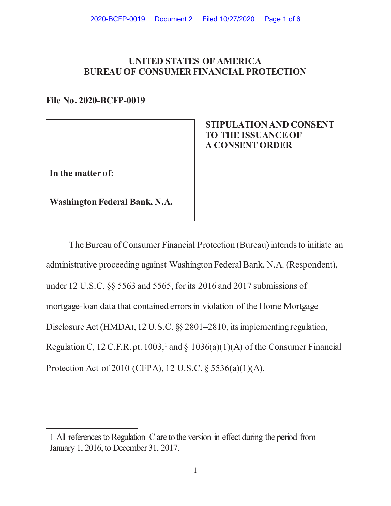## **UNITED STATES OF AMERICA BUREAU OF CONSUMER FINANCIAL PROTECTION**

**File No. 2020-BCFP-0019** 

 **STIPULATION AND CONSENT TO THE ISSUANCE OF A CONSENT ORDER** 

**In the matter of:** 

**Washington Federal Bank, N.A.** 

The Bureau of Consumer Financial Protection (Bureau) intends to initiate an administrative proceeding against Washington Federal Bank, N.A. (Respondent), under 12 U.S.C. §§ 5563 and 5565, for its 2016 and 2017 submissions of mortgage-loan data that contained errors in violation of the Home Mortgage Disclosure Act (HMDA), 12 U.S.C. §§ 2801–2810, its implementing regulation, Regulation C, 12 C.F.R. pt. 1003,<sup>1</sup> and  $\S$  1036(a)(1)(A) of the Consumer Financial Protection Act of 2010 (CFPA), 12 U.S.C. § 5536(a)(1)(A).

<sup>1</sup> All references to Regulation C are to the version in effect during the period from January 1, 2016, to December 31, 2017.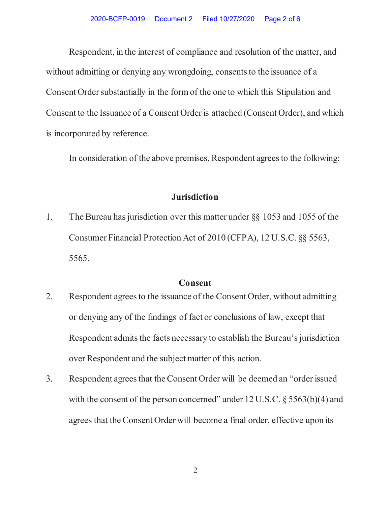Respondent, in the interest of compliance and resolution of the matter, and without admitting or denying any wrongdoing, consents to the issuance of a Consent Order substantially in the form of the one to which this Stipulation and Consent to the Issuance of a Consent Order is attached (Consent Order), and which is incorporated by reference.

In consideration of the above premises, Respondent agrees to the following:

## **Jurisdiction**

1. The Bureau has jurisdiction over this matter under §§ 1053 and 1055 of the Consumer Financial Protection Act of 2010 (CFPA), 12 U.S.C. §§ 5563, 5565.

## **Consent**

- 2. Respondent agrees to the issuance of the Consent Order, without admitting or denying any of the findings of fact or conclusions of law, except that Respondent admits the facts necessary to establish the Bureau's jurisdiction over Respondent and the subject matter of this action.
- 3. Respondent agrees that the Consent Order will be deemed an "order issued with the consent of the person concerned" under  $12$  U.S.C. § 5563(b)(4) and agrees that the Consent Order will become a final order, effective upon its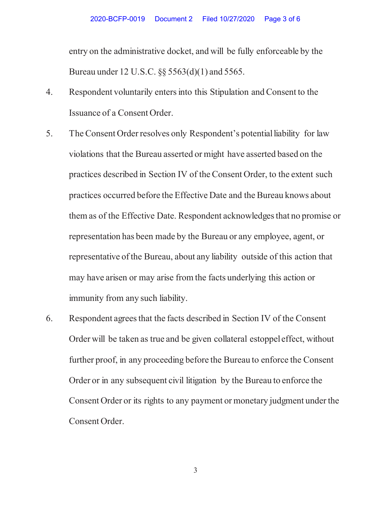entry on the administrative docket, and will be fully enforceable by the Bureau under 12 U.S.C. §§ 5563(d)(1) and 5565.

- 4. Respondent voluntarily enters into this Stipulation and Consent to the Issuance of a Consent Order.
- 5. The Consent Order resolves only Respondent's potential liability for law violations that the Bureau asserted or might have asserted based on the practices described in Section IV of the Consent Order, to the extent such practices occurred before the Effective Date and the Bureau knows about them as of the Effective Date. Respondent acknowledges that no promise or representation has been made by the Bureau or any employee, agent, or representative of the Bureau, about any liability outside of this action that may have arisen or may arise from the facts underlying this action or immunity from any such liability.
- 6. Respondent agrees that the facts described in Section IV of the Consent Order will be taken as true and be given collateral estoppel effect, without further proof, in any proceeding before the Bureau to enforce the Consent Order or in any subsequent civil litigation by the Bureau to enforce the Consent Order or its rights to any payment or monetary judgment under the Consent Order.

3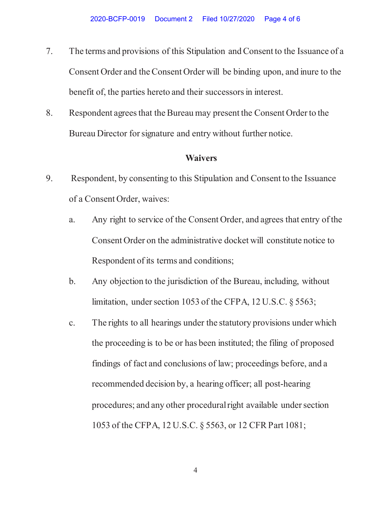- 7. The terms and provisions of this Stipulation and Consent to the Issuance of a Consent Order and the Consent Order will be binding upon, and inure to the benefit of, the parties hereto and their successors in interest.
- 8. Respondent agrees that the Bureau may present the Consent Order to the Bureau Director for signature and entry without further notice.

## **Waivers**

- 9. Respondent, by consenting to this Stipulation and Consent to the Issuance of a Consent Order, waives:
	- a. Any right to service of the Consent Order, and agrees that entry of the Consent Order on the administrative docket will constitute notice to Respondent of its terms and conditions;
	- b. Any objection to the jurisdiction of the Bureau, including, without limitation, under section 1053 of the CFPA, 12 U.S.C. § 5563;
	- c. The rights to all hearings under the statutory provisions under which the proceeding is to be or has been instituted; the filing of proposed findings of fact and conclusions of law; proceedings before, and a recommended decision by, a hearing officer; all post-hearing procedures; and any other procedural right available under section 1053 of the CFPA, 12 U.S.C. § 5563, or 12 CFR Part 1081;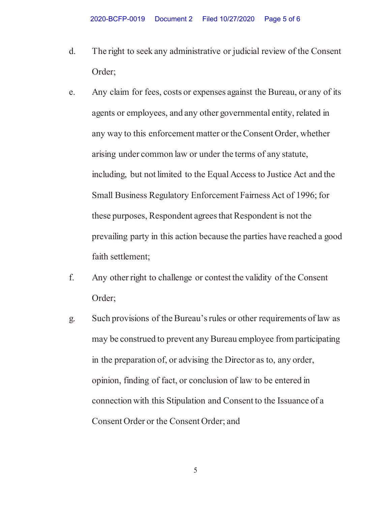- d. The right to seek any administrative or judicial review of the Consent Order;
- e. Any claim for fees, costs or expenses against the Bureau, or any of its agents or employees, and any other governmental entity, related in any way to this enforcement matter or the Consent Order, whether arising under common law or under the terms of any statute, including, but not limited to the Equal Access to Justice Act and the Small Business Regulatory Enforcement Fairness Act of 1996; for these purposes, Respondent agrees that Respondent is not the prevailing party in this action because the parties have reached a good faith settlement;
- f. Any other right to challenge or contest the validity of the Consent Order;
- g. Such provisions of the Bureau's rules or other requirements of law as may be construed to prevent any Bureau employee from participating in the preparation of, or advising the Director as to, any order, opinion, finding of fact, or conclusion of law to be entered in connection with this Stipulation and Consent to the Issuance of a Consent Order or the Consent Order; and

5